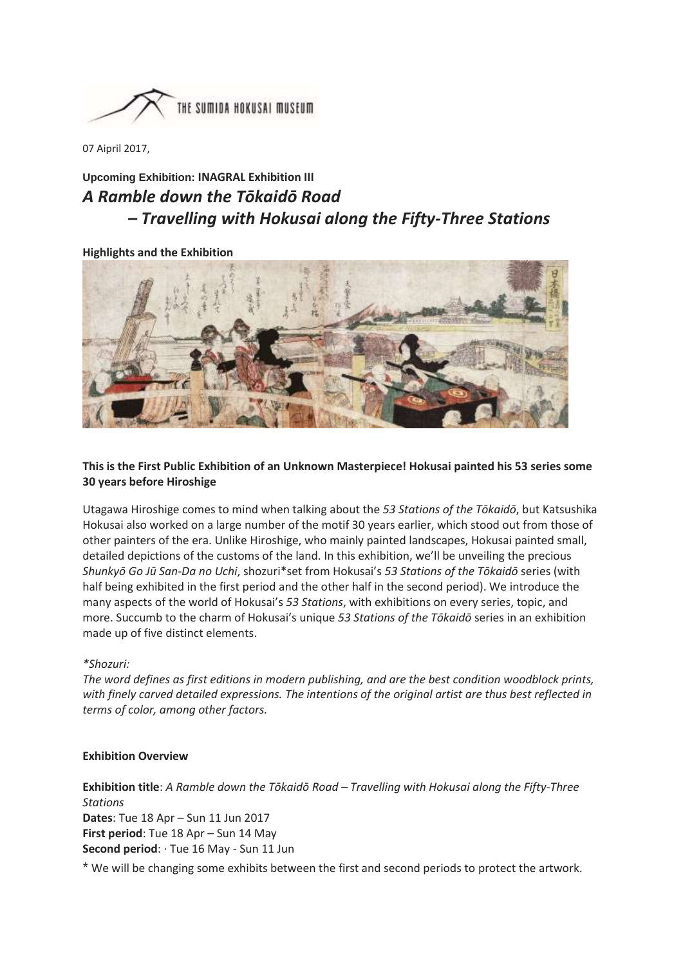

07 Aipril 2017,

# **Upcoming Exhibition: INAGRAL Exhibition III** *A Ramble down the Tōkaidō Road – Travelling with Hokusai along the Fifty-Three Stations*

## **Highlights and the Exhibition**



# **This is the First Public Exhibition of an Unknown Masterpiece! Hokusai painted his 53 series some 30 years before Hiroshige**

Utagawa Hiroshige comes to mind when talking about the *53 Stations of the Tōkaidō*, but Katsushika Hokusai also worked on a large number of the motif 30 years earlier, which stood out from those of other painters of the era. Unlike Hiroshige, who mainly painted landscapes, Hokusai painted small, detailed depictions of the customs of the land. In this exhibition, we'll be unveiling the precious *Shunkyō Go Jū San-Da no Uchi*, shozuri\*set from Hokusai's *53 Stations of the Tōkaidō* series (with half being exhibited in the first period and the other half in the second period). We introduce the many aspects of the world of Hokusai's *53 Stations*, with exhibitions on every series, topic, and more. Succumb to the charm of Hokusai's unique *53 Stations of the Tōkaidō* series in an exhibition made up of five distinct elements.

#### *\*Shozuri:*

*The word defines as first editions in modern publishing, and are the best condition woodblock prints, with finely carved detailed expressions. The intentions of the original artist are thus best reflected in terms of color, among other factors.*

#### **Exhibition Overview**

**Exhibition title**: *A Ramble down the Tōkaidō Road – Travelling with Hokusai along the Fifty-Three Stations* **Dates**: Tue 18 Apr – Sun 11 Jun 2017 **First period**: Tue 18 Apr – Sun 14 May **Second period**: · Tue 16 May - Sun 11 Jun

\* We will be changing some exhibits between the first and second periods to protect the artwork.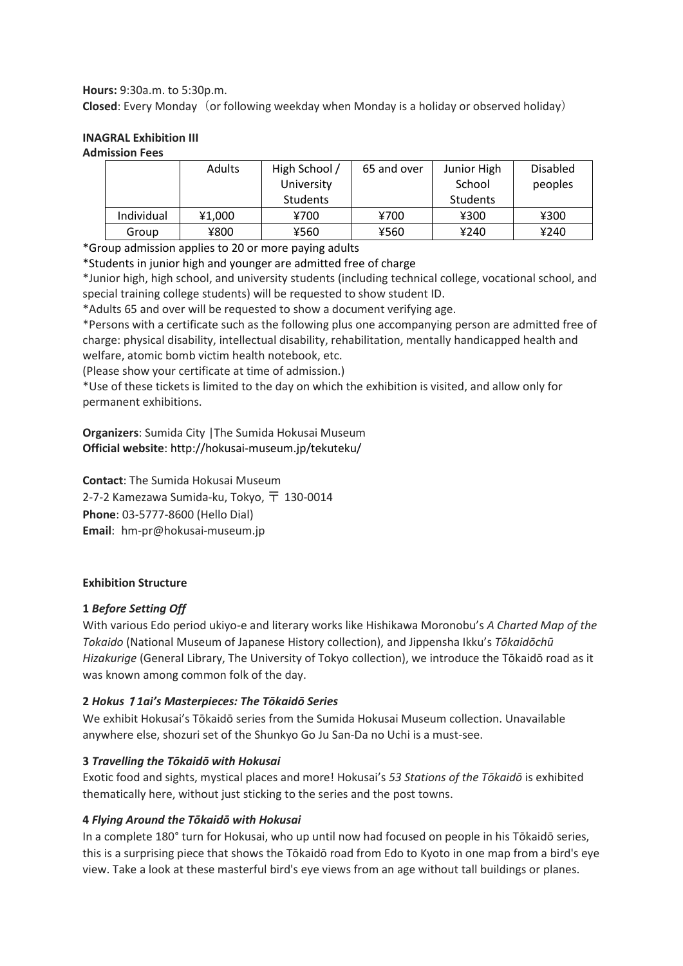**Hours:** 9:30a.m. to 5:30p.m.

**Closed**: Every Monday (or following weekday when Monday is a holiday or observed holiday)

#### **INAGRAL Exhibition III Admission Fees**

|            | Adults | High School /<br>University<br>Students | 65 and over | Junior High<br>School<br>Students | <b>Disabled</b><br>peoples |
|------------|--------|-----------------------------------------|-------------|-----------------------------------|----------------------------|
| Individual | ¥1,000 | ¥700                                    | ¥700        | ¥300                              | ¥300                       |
| Group      | ¥800   | ¥560                                    | ¥560        | ¥240                              | ¥240                       |

\*Group admission applies to 20 or more paying adults

\*Students in junior high and younger are admitted free of charge

\*Junior high, high school, and university students (including technical college, vocational school, and special training college students) will be requested to show student ID.

\*Adults 65 and over will be requested to show a document verifying age.

\*Persons with a certificate such as the following plus one accompanying person are admitted free of charge: physical disability, intellectual disability, rehabilitation, mentally handicapped health and welfare, atomic bomb victim health notebook, etc.

(Please show your certificate at time of admission.)

\*Use of these tickets is limited to the day on which the exhibition is visited, and allow only for permanent exhibitions.

**Organizers**: Sumida City |The Sumida Hokusai Museum **Official website**[: http://hokusai-museum.jp/tekuteku/](http://hokusai-museum.jp/tekuteku/)

**Contact**: The Sumida Hokusai Museum 2-7-2 Kamezawa Sumida-ku, Tokyo,  $\overline{T}$  130-0014 **Phone**: 03-5777-8600 (Hello Dial) **Email**: hm-pr@hokusai-museum.jp

# **Exhibition Structure**

# **1** *Before Setting Off*

With various Edo period ukiyo-e and literary works like Hishikawa Moronobu's *A Charted Map of the Tokaido* (National Museum of Japanese History collection), and Jippensha Ikku's *Tōkaidōchū Hizakurige* (General Library, The University of Tokyo collection), we introduce the Tōkaidō road as it was known among common folk of the day.

# **2** *Hokus*1*1ai's Masterpieces: The Tōkaidō Series*

We exhibit Hokusai's Tōkaidō series from the Sumida Hokusai Museum collection. Unavailable anywhere else, shozuri set of the Shunkyo Go Ju San-Da no Uchi is a must-see.

# **3** *Travelling the Tōkaidō with Hokusai*

Exotic food and sights, mystical places and more! Hokusai's *53 Stations of the Tōkaidō* is exhibited thematically here, without just sticking to the series and the post towns.

# **4** *Flying Around the Tōkaidō with Hokusai*

In a complete 180° turn for Hokusai, who up until now had focused on people in his Tōkaidō series, this is a surprising piece that shows the Tōkaidō road from Edo to Kyoto in one map from a bird's eye view. Take a look at these masterful bird's eye views from an age without tall buildings or planes.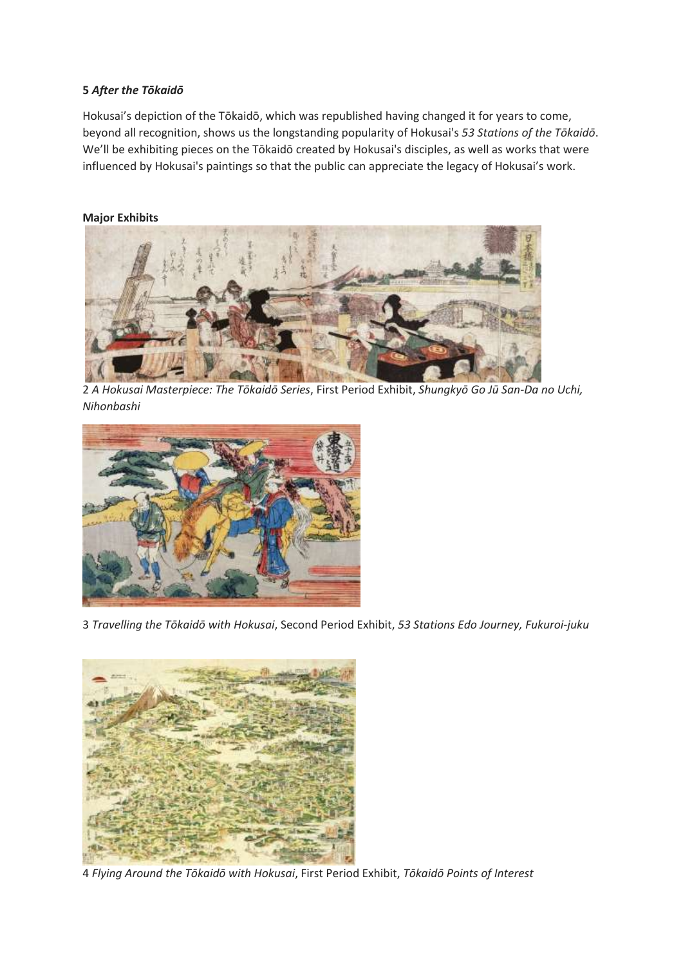# **5** *After the Tōkaidō*

Hokusai's depiction of the Tōkaidō, which was republished having changed it for years to come, beyond all recognition, shows us the longstanding popularity of Hokusai's *53 Stations of the Tōkaidō*. We'll be exhibiting pieces on the Tōkaidō created by Hokusai's disciples, as well as works that were influenced by Hokusai's paintings so that the public can appreciate the legacy of Hokusai's work.

## **Major Exhibits**



2 *A Hokusai Masterpiece: The Tōkaidō Series*, First Period Exhibit, *Shungkyō Go Jū San-Da no Uchi, Nihonbashi*



3 *Travelling the Tōkaidō with Hokusai*, Second Period Exhibit, *53 Stations Edo Journey, Fukuroi-juku*



4 *Flying Around the Tōkaidō with Hokusai*, First Period Exhibit, *Tōkaidō Points of Interest*